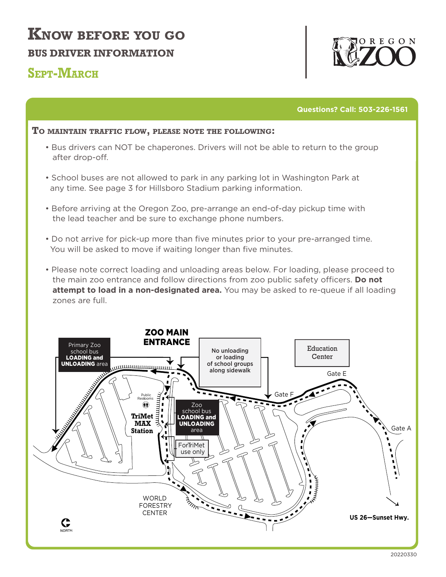## **KNOW BEFORE YOU GO BUS DRIVER INFORMATION**

#### **SEPT-MARCH**



**Questions? Call: 503-226-1561**

#### **TO MAINTAIN TRAFFIC FLOW, PLEASE NOTE THE FOLLOWING:**

- Bus drivers can NOT be chaperones. Drivers will not be able to return to the group after drop-off.
- School buses are not allowed to park in any parking lot in Washington Park at any time. See page 3 for Hillsboro Stadium parking information.
- Before arriving at the Oregon Zoo, pre-arrange an end-of-day pickup time with the lead teacher and be sure to exchange phone numbers.
- Do not arrive for pick-up more than five minutes prior to your pre-arranged time. You will be asked to move if waiting longer than five minutes.
- Please note correct loading and unloading areas below. For loading, please proceed to the main zoo entrance and follow directions from zoo public safety officers. Do not  **attempt to load in a non-designated area.** You may be asked to re-queue if all loading zones are full.

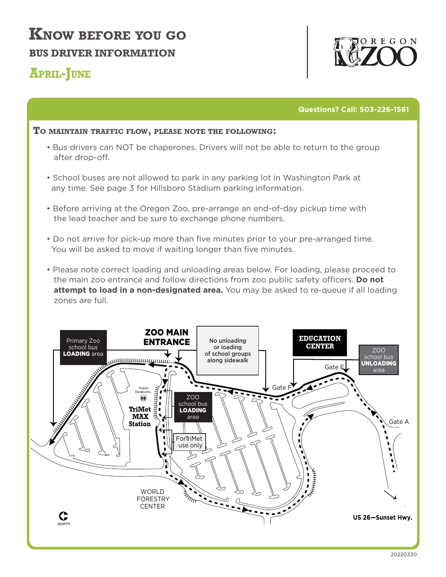# **KNOW BEFORE YOU GO BUS DRIVER INFORMATION**

### **APRIL-JUNE**



**Questions? Call: 503-226-1561**

#### **TO MAINTAIN TRAFFIC FLOW, PLEASE NOTE THE FOLLOWING:**

- Bus drivers can NOT be chaperones. Drivers will not be able to return to the group after drop-off.
- School buses are not allowed to park in any parking lot in Washington Park at any time. See page 3 for Hillsboro Stadium parking information.
- Before arriving at the Oregon Zoo, pre-arrange an end-of-day pickup time with the lead teacher and be sure to exchange phone numbers.
- Do not arrive for pick-up more than five minutes prior to your pre-arranged time. You will be asked to move if waiting longer than five minutes.
- Please note correct loading and unloading areas below. For loading, please proceed to the main zoo entrance and follow directions from zoo public safety officers. Do not **attempt to load in a non-designated area.** You may be asked to re-queue if all loading zones are full.